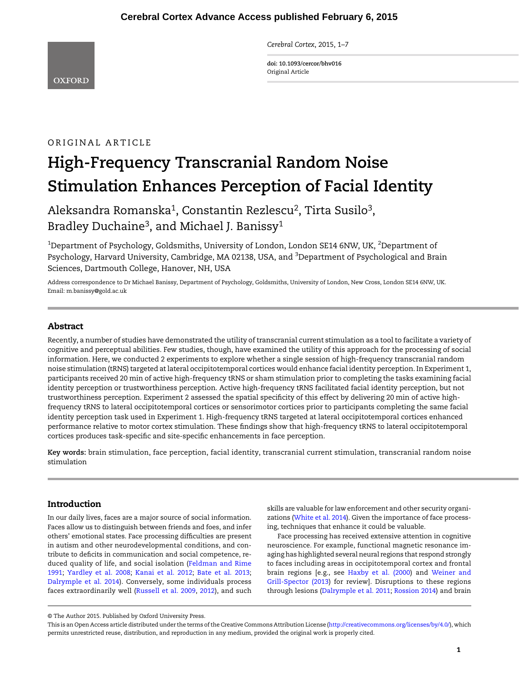Cerebral Cortex, 2015, 1–7

doi: 10.1093/cercor/bhv016 Original Article

# ORIGINAL ARTICLE

# High-Frequency Transcranial Random Noise Stimulation Enhances Perception of Facial Identity

Aleksandra Romanska1, Constantin Rezlescu2, Tirta Susilo3, Bradley Duchaine<sup>3</sup>, and Michael J. Banissy<sup>1</sup>

 $^{\rm 1}$ Department of Psychology, Goldsmiths, University of London, London SE14 6NW, UK,  $^{\rm 2}$ Department of Psychology, Harvard University, Cambridge, MA 02138, USA, and <sup>3</sup>Department of Psychological and Brain Sciences, Dartmouth College, Hanover, NH, USA

Address correspondence to Dr Michael Banissy, Department of Psychology, Goldsmiths, University of London, New Cross, London SE14 6NW, UK. Email: m.banissy@gold.ac.uk

## Abstract

Recently, a number of studies have demonstrated the utility of transcranial current stimulation as a tool to facilitate a variety of cognitive and perceptual abilities. Few studies, though, have examined the utility of this approach for the processing of social information. Here, we conducted 2 experiments to explore whether a single session of high-frequency transcranial random noise stimulation (tRNS) targeted at lateral occipitotemporal cortices would enhance facial identity perception. In Experiment 1, participants received 20 min of active high-frequency tRNS or sham stimulation prior to completing the tasks examining facial identity perception or trustworthiness perception. Active high-frequency tRNS facilitated facial identity perception, but not trustworthiness perception. Experiment 2 assessed the spatial specificity of this effect by delivering 20 min of active highfrequency tRNS to lateral occipitotemporal cortices or sensorimotor cortices prior to participants completing the same facial identity perception task used in Experiment 1. High-frequency tRNS targeted at lateral occipitotemporal cortices enhanced performance relative to motor cortex stimulation. These findings show that high-frequency tRNS to lateral occipitotemporal cortices produces task-specific and site-specific enhancements in face perception.

Key words: brain stimulation, face perception, facial identity, transcranial current stimulation, transcranial random noise stimulation

# Introduction

In our daily lives, faces are a major source of social information. Faces allow us to distinguish between friends and foes, and infer others' emotional states. Face processing difficulties are present in autism and other neurodevelopmental conditions, and contribute to deficits in communication and social competence, reduced quality of life, and social isolation ([Feldman and Rime](#page-5-0) [1991;](#page-5-0) [Yardley et al. 2008;](#page-6-0) [Kanai et al. 2012;](#page-5-0) [Bate et al. 2013;](#page-5-0) [Dalrymple et al. 2014\)](#page-5-0). Conversely, some individuals process faces extraordinarily well [\(Russell et al. 2009,](#page-6-0) [2012\)](#page-6-0), and such

skills are valuable for law enforcement and other security organizations [\(White et al. 2014](#page-6-0)). Given the importance of face processing, techniques that enhance it could be valuable.

Face processing has received extensive attention in cognitive neuroscience. For example, functional magnetic resonance imaging has highlighted several neural regions that respond strongly to faces including areas in occipitotemporal cortex and frontal brain regions [e.g., see [Haxby et al. \(2000\)](#page-5-0) and [Weiner and](#page-6-0) [Grill-Spector \(2013](#page-6-0)) for review]. Disruptions to these regions through lesions ([Dalrymple et al. 2011](#page-5-0); [Rossion 2014](#page-6-0)) and brain

<sup>©</sup> The Author 2015. Published by Oxford University Press.

This is an Open Access article distributed under the terms of the Creative Commons Attribution License [\(http://creativecommons.org/licenses/by/4.0/](http://creativecommons.org/licenses/by/4.0/)), which permits unrestricted reuse, distribution, and reproduction in any medium, provided the original work is properly cited.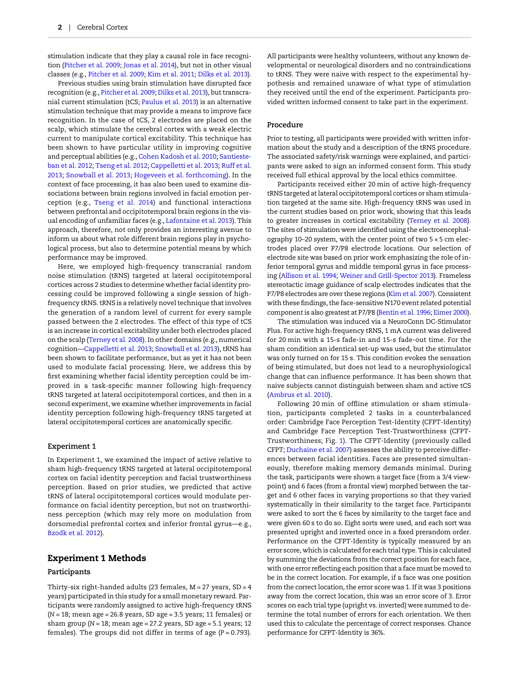stimulation indicate that they play a causal role in face recognition ([Pitcher et al. 2009;](#page-5-0) [Jonas et al. 2014](#page-5-0)), but not in other visual classes (e.g., [Pitcher et al. 2009](#page-5-0); [Kim et al. 2011](#page-5-0); [Dilks et al. 2013](#page-5-0)).

Previous studies using brain stimulation have disrupted face recognition (e.g., [Pitcher et al. 2009;](#page-5-0) [Dilks et al. 2013](#page-5-0)), but transcranial current stimulation (tCS; [Paulus et al. 2013](#page-5-0)) is an alternative stimulation technique that may provide a means to improve face recognition. In the case of tCS, 2 electrodes are placed on the scalp, which stimulate the cerebral cortex with a weak electric current to manipulate cortical excitability. This technique has been shown to have particular utility in improving cognitive and perceptual abilities (e.g., [Cohen Kadosh et al. 2010](#page-5-0); [Santieste](#page-6-0)[ban et al. 2012;](#page-6-0) [Tseng et al. 2012](#page-6-0); [Cappelletti et al. 2013](#page-5-0); [Ruff et al.](#page-6-0) [2013](#page-6-0); [Snowball et al. 2013;](#page-6-0) [Hogeveen et al. forthcoming\)](#page-5-0). In the context of face processing, it has also been used to examine dissociations between brain regions involved in facial emotion perception (e.g., [Tseng et al. 2014\)](#page-6-0) and functional interactions between prefrontal and occipitotemporal brain regions in the visual encoding of unfamiliar faces (e.g., [Lafontaine et al. 2013\)](#page-5-0). This approach, therefore, not only provides an interesting avenue to inform us about what role different brain regions play in psychological process, but also to determine potential means by which performance may be improved.

Here, we employed high-frequency transcranial random noise stimulation (tRNS) targeted at lateral occipitotemporal cortices across 2 studies to determine whether facial identity processing could be improved following a single session of highfrequency tRNS. tRNS is a relatively novel technique that involves the generation of a random level of current for every sample passed between the 2 electrodes. The effect of this type of tCS is an increase in cortical excitability under both electrodes placed on the scalp ([Terney et al. 2008\)](#page-6-0). In other domains (e.g., numerical cognition—[Cappelletti et al. 2013](#page-5-0); [Snowball et al. 2013\)](#page-6-0), tRNS has been shown to facilitate performance, but as yet it has not been used to modulate facial processing. Here, we address this by first examining whether facial identity perception could be improved in a task-specific manner following high-frequency tRNS targeted at lateral occipitotemporal cortices, and then in a second experiment, we examine whether improvements in facial identity perception following high-frequency tRNS targeted at lateral occipitotemporal cortices are anatomically specific.

#### Experiment 1

In Experiment 1, we examined the impact of active relative to sham high-frequency tRNS targeted at lateral occipitotemporal cortex on facial identity perception and facial trustworthiness perception. Based on prior studies, we predicted that active tRNS of lateral occipitotemporal cortices would modulate performance on facial identity perception, but not on trustworthiness perception (which may rely more on modulation from dorsomedial prefrontal cortex and inferior frontal gyrus—e.g., [Bzodk et al. 2012](#page-5-0)).

#### Experiment 1 Methods

#### Participants

Thirty-six right-handed adults (23 females,  $M = 27$  years,  $SD = 4$ years) participated in this study for a small monetary reward. Participants were randomly assigned to active high-frequency tRNS  $(N = 18;$  mean age = 26.8 years, SD age = 3.5 years; 11 females) or sham group ( $N = 18$ ; mean age = 27.2 years, SD age = 5.1 years; 12 females). The groups did not differ in terms of age  $(P = 0.793)$ .

All participants were healthy volunteers, without any known developmental or neurological disorders and no contraindications to tRNS. They were naive with respect to the experimental hypothesis and remained unaware of what type of stimulation they received until the end of the experiment. Participants provided written informed consent to take part in the experiment.

#### Procedure

Prior to testing, all participants were provided with written information about the study and a description of the tRNS procedure. The associated safety/risk warnings were explained, and participants were asked to sign an informed consent form. This study received full ethical approval by the local ethics committee.

Participants received either 20 min of active high-frequency tRNS targeted at lateral occipitotemporal cortices or sham stimulation targeted at the same site. High-frequency tRNS was used in the current studies based on prior work, showing that this leads to greater increases in cortical excitability ([Terney et al. 2008](#page-6-0)). The sites of stimulation were identified using the electroencephalography 10–20 system, with the center point of two 5 × 5 cm electrodes placed over P7/P8 electrode locations. Our selection of electrode site was based on prior work emphasizing the role of inferior temporal gyrus and middle temporal gyrus in face processing [\(Allison et al. 1994;](#page-5-0) [Weiner and Grill-Spector 2013\)](#page-6-0). Frameless stereotactic image guidance of scalp electrodes indicates that the P7/P8 electrodes are over these regions ([Kim et al. 2007\)](#page-5-0). Consistent with these findings, the face-sensitive N170 event related potential component is also greatest at P7/P8 [\(Bentin et al. 1996](#page-5-0); [Eimer 2000](#page-5-0)).

The stimulation was induced via a NeuroConn DC-Stimulator Plus. For active high-frequency tRNS, 1 mA current was delivered for 20 min with a 15-s fade-in and 15-s fade-out time. For the sham condition an identical set-up was used, but the stimulator was only turned on for 15 s. This condition evokes the sensation of being stimulated, but does not lead to a neurophysiological change that can influence performance. It has been shown that naive subjects cannot distinguish between sham and active tCS ([Ambrus et al. 2010\)](#page-5-0).

Following 20 min of offline stimulation or sham stimulation, participants completed 2 tasks in a counterbalanced order: Cambridge Face Perception Test-Identity (CFPT-Identity) and Cambridge Face Perception Test-Trustworthiness (CFPT-Trustworthiness; Fig. [1\)](#page-2-0). The CFPT-Identity (previously called CFPT; [Duchaine et al. 2007](#page-5-0)) assesses the ability to perceive differences between facial identities. Faces are presented simultaneously, therefore making memory demands minimal. During the task, participants were shown a target face (from a 3/4 viewpoint) and 6 faces (from a frontal view) morphed between the target and 6 other faces in varying proportions so that they varied systematically in their similarity to the target face. Participants were asked to sort the 6 faces by similarity to the target face and were given 60 s to do so. Eight sorts were used, and each sort was presented upright and inverted once in a fixed prerandom order. Performance on the CFPT-Identity is typically measured by an error score, which is calculated for each trial type. This is calculated by summing the deviations from the correct position for each face, with one error reflecting each position that a face must be moved to be in the correct location. For example, if a face was one position from the correct location, the error score was 1. If it was 3 positions away from the correct location, this was an error score of 3. Error scores on each trial type (upright vs. inverted) were summed to determine the total number of errors for each orientation. We then used this to calculate the percentage of correct responses. Chance performance for CFPT-Identity is 36%.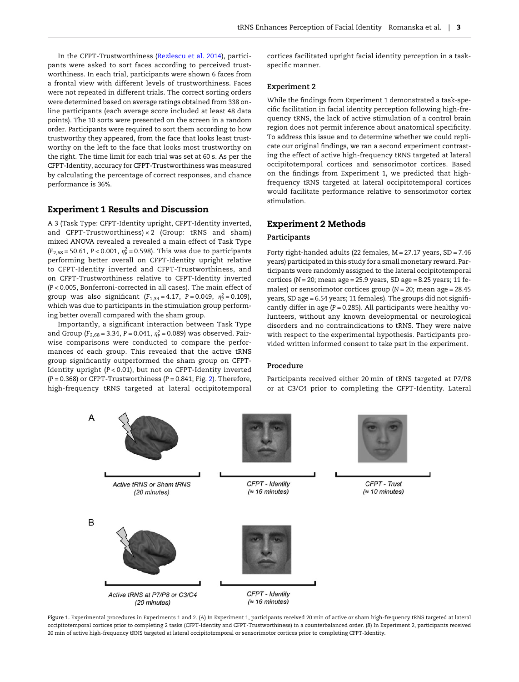<span id="page-2-0"></span>In the CFPT-Trustworthiness ([Rezlescu et al. 2014](#page-5-0)), participants were asked to sort faces according to perceived trustworthiness. In each trial, participants were shown 6 faces from a frontal view with different levels of trustworthiness. Faces were not repeated in different trials. The correct sorting orders were determined based on average ratings obtained from 338 online participants (each average score included at least 48 data points). The 10 sorts were presented on the screen in a random order. Participants were required to sort them according to how trustworthy they appeared, from the face that looks least trustworthy on the left to the face that looks most trustworthy on the right. The time limit for each trial was set at 60 s. As per the CFPT-Identity, accuracy for CFPT-Trustworthiness was measured by calculating the percentage of correct responses, and chance performance is 36%.

# Experiment 1 Results and Discussion

A 3 (Task Type: CFPT-Identity upright, CFPT-Identity inverted, and CFPT-Trustworthiness)  $\times$  2 (Group: tRNS and sham) mixed ANOVA revealed a revealed a main effect of Task Type  $(F_{2,68} = 50.61, P < 0.001, \eta_P^2 = 0.598)$ . This was due to participants performing better overall on CFPT-Identity upright relative to CFPT-Identity inverted and CFPT-Trustworthiness, and on CFPT-Trustworthiness relative to CFPT-Identity inverted (P < 0.005, Bonferroni-corrected in all cases). The main effect of group was also significant  $(F_{1,34} = 4.17, P = 0.049, \eta_P^2 = 0.109)$ , which was due to participants in the stimulation group performing better overall compared with the sham group.

Importantly, a significant interaction between Task Type and Group ( $F_{2,68}$  = 3.34, P = 0.041,  $\eta_P^2$  = 0.089) was observed. Pairwise comparisons were conducted to compare the performances of each group. This revealed that the active tRNS group significantly outperformed the sham group on CFPT-Identity upright (P < 0.01), but not on CFPT-Identity inverted  $(P = 0.368)$  or CFPT-Trustworthiness  $(P = 0.841; Fig. 2)$  $(P = 0.841; Fig. 2)$ . Therefore, high-frequency tRNS targeted at lateral occipitotemporal cortices facilitated upright facial identity perception in a taskspecific manner.

#### Experiment 2

While the findings from Experiment 1 demonstrated a task-specific facilitation in facial identity perception following high-frequency tRNS, the lack of active stimulation of a control brain region does not permit inference about anatomical specificity. To address this issue and to determine whether we could replicate our original findings, we ran a second experiment contrasting the effect of active high-frequency tRNS targeted at lateral occipitotemporal cortices and sensorimotor cortices. Based on the findings from Experiment 1, we predicted that highfrequency tRNS targeted at lateral occipitotemporal cortices would facilitate performance relative to sensorimotor cortex stimulation.

## Experiment 2 Methods

#### Participants

Forty right-handed adults (22 females, M = 27.17 years, SD = 7.46 years) participated in this study for a small monetary reward. Participants were randomly assigned to the lateral occipitotemporal cortices ( $N = 20$ ; mean age = 25.9 years, SD age = 8.25 years; 11 females) or sensorimotor cortices group ( $N = 20$ ; mean age = 28.45 years, SD age = 6.54 years; 11 females). The groups did not significantly differ in age ( $P = 0.285$ ). All participants were healthy volunteers, without any known developmental or neurological disorders and no contraindications to tRNS. They were naive with respect to the experimental hypothesis. Participants provided written informed consent to take part in the experiment.

#### Procedure

Participants received either 20 min of tRNS targeted at P7/P8 or at C3/C4 prior to completing the CFPT-Identity. Lateral



Figure 1. Experimental procedures in Experiments 1 and 2. (A) In Experiment 1, participants received 20 min of active or sham high-frequency tRNS targeted at lateral occipitotemporal cortices prior to completing 2 tasks (CFPT-Identity and CFPT-Trustworthiness) in a counterbalanced order. (B) In Experiment 2, participants received 20 min of active high-frequency tRNS targeted at lateral occipitotemporal or sensorimotor cortices prior to completing CFPT-Identity.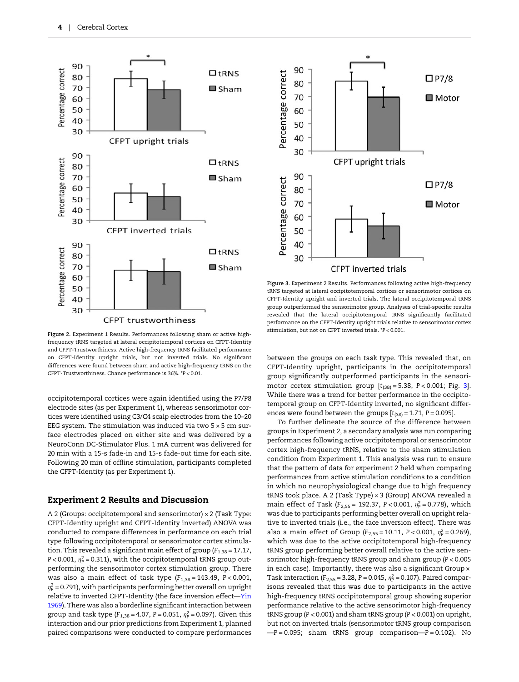<span id="page-3-0"></span>



Figure 3. Experiment 2 Results. Performances following active high-frequency tRNS targeted at lateral occipitotemporal cortices or sensorimotor cortices on CFPT-Identity upright and inverted trials. The lateral occipitotemporal tRNS group outperformed the sensorimotor group. Analyses of trial-specific results revealed that the lateral occipitotemporal tRNS significantly facilitated performance on the CFPT-Identity upright trials relative to sensorimotor cortex stimulation, but not on CFPT inverted trials. \*P < 0.001.

Figure 2. Experiment 1 Results. Performances following sham or active highfrequency tRNS targeted at lateral occipitotemporal cortices on CFPT-Identity and CFPT-Trustworthiness. Active high-frequency tRNS facilitated performance on CFPT-Identity upright trials, but not inverted trials. No significant differences were found between sham and active high-frequency tRNS on the CFPT-Trustworthiness. Chance performance is 36%. \*P < 0.01.

occipitotemporal cortices were again identified using the P7/P8 electrode sites (as per Experiment 1), whereas sensorimotor cortices were identified using C3/C4 scalp electrodes from the 10–20 EEG system. The stimulation was induced via two  $5 \times 5$  cm surface electrodes placed on either site and was delivered by a NeuroConn DC-Stimulator Plus. 1 mA current was delivered for 20 min with a 15-s fade-in and 15-s fade-out time for each site. Following 20 min of offline stimulation, participants completed the CFPT-Identity (as per Experiment 1).

## Experiment 2 Results and Discussion

A 2 (Groups: occipitotemporal and sensorimotor) × 2 (Task Type: CFPT-Identity upright and CFPT-Identity inverted) ANOVA was conducted to compare differences in performance on each trial type following occipitotemporal or sensorimotor cortex stimulation. This revealed a significant main effect of group ( $F_{1,38}$  = 17.17, P < 0.001,  $\eta_{\rm p}^2$  = 0.311), with the occipitotemporal tRNS group outperforming the sensorimotor cortex stimulation group. There was also a main effect of task type  $(F_{1,38} = 143.49, P < 0.001,$  $\eta_\texttt{P}^2$  = 0.791), with participants performing better overall on upright relative to inverted CFPT-Identity (the face inversion effect—[Yin](#page-6-0) [1969](#page-6-0)). There was also a borderline significant interaction between group and task type ( $F_{1,38} = 4.07$ , P = 0.051,  $\eta_{\rm p}^2 = 0.097$ ). Given this interaction and our prior predictions from Experiment 1, planned paired comparisons were conducted to compare performances

between the groups on each task type. This revealed that, on CFPT-Identity upright, participants in the occipitotemporal group significantly outperformed participants in the sensorimotor cortex stimulation group  $[t_{(38)} = 5.38, P < 0.001;$  Fig. 3]. While there was a trend for better performance in the occipitotemporal group on CFPT-Identity inverted, no significant differences were found between the groups  $[t_{(38)} = 1.71, P = 0.095]$ .

To further delineate the source of the difference between groups in Experiment 2, a secondary analysis was run comparing performances following active occipitotemporal or sensorimotor cortex high-frequency tRNS, relative to the sham stimulation condition from Experiment 1. This analysis was run to ensure that the pattern of data for experiment 2 held when comparing performances from active stimulation conditions to a condition in which no neurophysiological change due to high frequency tRNS took place. A 2 (Task Type) × 3 (Group) ANOVA revealed a main effect of Task ( $F_{2,55}$  = 192.37, P < 0.001,  $\eta_P^2$  = 0.778), which was due to participants performing better overall on upright relative to inverted trials (i.e., the face inversion effect). There was also a main effect of Group ( $F_{2,55} = 10.11$ ,  $P < 0.001$ ,  $\eta_{\rm p}^2 = 0.269$ ), which was due to the active occipitotemporal high-frequency tRNS group performing better overall relative to the active sensorimotor high-frequency tRNS group and sham group (P < 0.005 in each case). Importantly, there was also a significant Group x Task interaction ( $F_{2,55} = 3.28$ , P = 0.045,  $\eta_{\rm P}^2 = 0.107$ ). Paired comparisons revealed that this was due to participants in the active high-frequency tRNS occipitotemporal group showing superior performance relative to the active sensorimotor high-frequency tRNS group (P < 0.001) and sham tRNS group (P < 0.001) on upright, but not on inverted trials (sensorimotor tRNS group comparison  $-P = 0.095$ ; sham tRNS group comparison- $P = 0.102$ ). No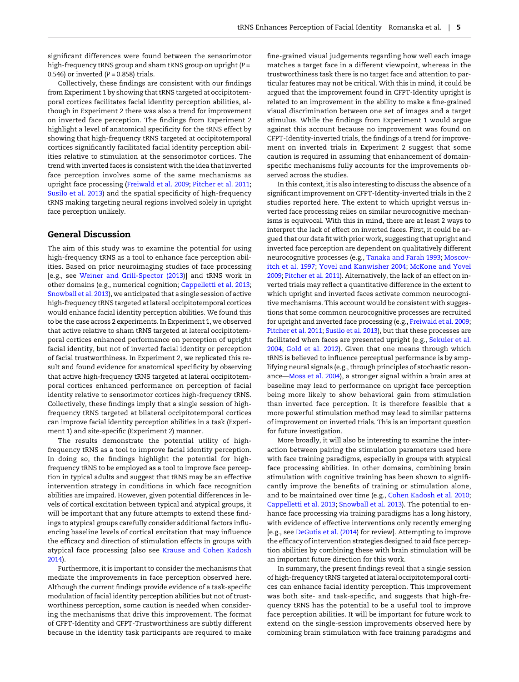significant differences were found between the sensorimotor high-frequency tRNS group and sham tRNS group on upright (P = 0.546) or inverted  $(P = 0.858)$  trials.

Collectively, these findings are consistent with our findings from Experiment 1 by showing that tRNS targeted at occipitotemporal cortices facilitates facial identity perception abilities, although in Experiment 2 there was also a trend for improvement on inverted face perception. The findings from Experiment 2 highlight a level of anatomical specificity for the tRNS effect by showing that high-frequency tRNS targeted at occipitotemporal cortices significantly facilitated facial identity perception abilities relative to stimulation at the sensorimotor cortices. The trend with inverted faces is consistent with the idea that inverted face perception involves some of the same mechanisms as upright face processing ([Freiwald et al. 2009;](#page-5-0) [Pitcher et al. 2011;](#page-5-0) [Susilo et al. 2013\)](#page-6-0) and the spatial specificity of high-frequency tRNS making targeting neural regions involved solely in upright face perception unlikely.

### General Discussion

The aim of this study was to examine the potential for using high-frequency tRNS as a tool to enhance face perception abilities. Based on prior neuroimaging studies of face processing [e.g., see [Weiner and Grill-Spector \(2013](#page-6-0))] and tRNS work in other domains (e.g., numerical cognition; [Cappelletti et al. 2013;](#page-5-0) [Snowball et al. 2013\)](#page-6-0), we anticipated that a single session of active high-frequency tRNS targeted at lateral occipitotemporal cortices would enhance facial identity perception abilities. We found this to be the case across 2 experiments. In Experiment 1, we observed that active relative to sham tRNS targeted at lateral occipitotemporal cortices enhanced performance on perception of upright facial identity, but not of inverted facial identity or perception of facial trustworthiness. In Experiment 2, we replicated this result and found evidence for anatomical specificity by observing that active high-frequency tRNS targeted at lateral occipitotemporal cortices enhanced performance on perception of facial identity relative to sensorimotor cortices high-frequency tRNS. Collectively, these findings imply that a single session of highfrequency tRNS targeted at bilateral occipitotemporal cortices can improve facial identity perception abilities in a task (Experiment 1) and site-specific (Experiment 2) manner.

The results demonstrate the potential utility of highfrequency tRNS as a tool to improve facial identity perception. In doing so, the findings highlight the potential for highfrequency tRNS to be employed as a tool to improve face perception in typical adults and suggest that tRNS may be an effective intervention strategy in conditions in which face recognition abilities are impaired. However, given potential differences in levels of cortical excitation between typical and atypical groups, it will be important that any future attempts to extend these findings to atypical groups carefully consider additional factors influencing baseline levels of cortical excitation that may influence the efficacy and direction of stimulation effects in groups with atypical face processing (also see [Krause and Cohen Kadosh](#page-5-0) [2014](#page-5-0)).

Furthermore, it is important to consider the mechanisms that mediate the improvements in face perception observed here. Although the current findings provide evidence of a task-specific modulation of facial identity perception abilities but not of trustworthiness perception, some caution is needed when considering the mechanisms that drive this improvement. The format of CFPT-Identity and CFPT-Trustworthiness are subtly different because in the identity task participants are required to make

fine-grained visual judgements regarding how well each image matches a target face in a different viewpoint, whereas in the trustworthiness task there is no target face and attention to particular features may not be critical. With this in mind, it could be argued that the improvement found in CFPT-Identity upright is related to an improvement in the ability to make a fine-grained visual discrimination between one set of images and a target stimulus. While the findings from Experiment 1 would argue against this account because no improvement was found on CFPT-Identity-inverted trials, the findings of a trend for improvement on inverted trials in Experiment 2 suggest that some caution is required in assuming that enhancement of domainspecific mechanisms fully accounts for the improvements observed across the studies.

In this context, it is also interesting to discuss the absence of a significant improvement on CFPT-Identity-inverted trials in the 2 studies reported here. The extent to which upright versus inverted face processing relies on similar neurocognitive mechanisms is equivocal. With this in mind, there are at least 2 ways to interpret the lack of effect on inverted faces. First, it could be argued that our data fit with prior work, suggesting that upright and inverted face perception are dependent on qualitatively different neurocognitive processes (e.g., [Tanaka and Farah 1993;](#page-6-0) [Moscov](#page-5-0)[itch et al. 1997;](#page-5-0) [Yovel and Kanwisher 2004](#page-6-0); [McKone and Yovel](#page-5-0) [2009](#page-5-0); [Pitcher et al. 2011\)](#page-5-0). Alternatively, the lack of an effect on inverted trials may reflect a quantitative difference in the extent to which upright and inverted faces activate common neurocognitive mechanisms. This account would be consistent with suggestions that some common neurocognitive processes are recruited for upright and inverted face processing (e.g., [Freiwald et al. 2009;](#page-5-0) [Pitcher et al. 2011;](#page-5-0) [Susilo et al. 2013](#page-6-0)), but that these processes are facilitated when faces are presented upright (e.g., [Sekuler et al.](#page-6-0) [2004;](#page-6-0) [Gold et al. 2012\)](#page-5-0). Given that one means through which tRNS is believed to influence perceptual performance is by amplifying neural signals (e.g., through principles of stochastic resonance—[Moss et al. 2004](#page-5-0)), a stronger signal within a brain area at baseline may lead to performance on upright face perception being more likely to show behavioral gain from stimulation than inverted face perception. It is therefore feasible that a more powerful stimulation method may lead to similar patterns of improvement on inverted trials. This is an important question for future investigation.

More broadly, it will also be interesting to examine the interaction between pairing the stimulation parameters used here with face training paradigms, especially in groups with atypical face processing abilities. In other domains, combining brain stimulation with cognitive training has been shown to significantly improve the benefits of training or stimulation alone, and to be maintained over time (e.g., [Cohen Kadosh et al. 2010;](#page-5-0) [Cappelletti et al. 2013](#page-5-0); [Snowball et al. 2013](#page-6-0)). The potential to enhance face processing via training paradigms has a long history, with evidence of effective interventions only recently emerging [e.g., see [DeGutis et al. \(2014](#page-5-0)) for review]. Attempting to improve the efficacy of intervention strategies designed to aid face perception abilities by combining these with brain stimulation will be an important future direction for this work.

In summary, the present findings reveal that a single session of high-frequency tRNS targeted at lateral occipitotemporal cortices can enhance facial identity perception. This improvement was both site- and task-specific, and suggests that high-frequency tRNS has the potential to be a useful tool to improve face perception abilities. It will be important for future work to extend on the single-session improvements observed here by combining brain stimulation with face training paradigms and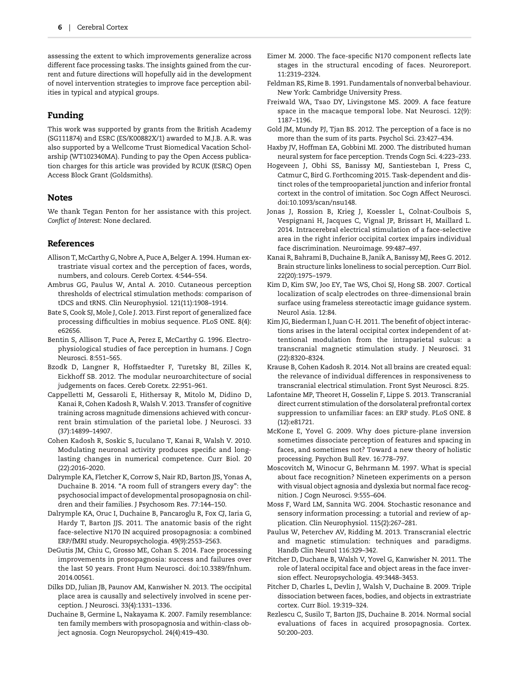<span id="page-5-0"></span>assessing the extent to which improvements generalize across different face processing tasks. The insights gained from the current and future directions will hopefully aid in the development of novel intervention strategies to improve face perception abilities in typical and atypical groups.

# Funding

This work was supported by grants from the British Academy (SG111874) and ESRC (ES/K00882X/1) awarded to M.J.B. A.R. was also supported by a Wellcome Trust Biomedical Vacation Scholarship (WT102340MA). Funding to pay the Open Access publication charges for this article was provided by RCUK (ESRC) Open Access Block Grant (Goldsmiths).

## Notes

We thank Tegan Penton for her assistance with this project. Conflict of Interest: None declared.

## References

- Allison T, McCarthy G, Nobre A, Puce A, Belger A. 1994. Human extrastriate visual cortex and the perception of faces, words, numbers, and colours. Cereb Cortex. 4:544–554.
- Ambrus GG, Paulus W, Antal A. 2010. Cutaneous perception thresholds of electrical stimulation methods: comparison of tDCS and tRNS. Clin Neurophysiol. 121(11):1908–1914.
- Bate S, Cook SJ, Mole J, Cole J. 2013. First report of generalized face processing difficulties in mobius sequence. PLoS ONE. 8(4): e62656.
- Bentin S, Allison T, Puce A, Perez E, McCarthy G. 1996. Electrophysiological studies of face perception in humans. J Cogn Neurosci. 8:551–565.
- Bzodk D, Langner R, Hoffstaedter F, Turetsky BI, Zilles K, Eickhoff SB. 2012. The modular neuroarchitecture of social judgements on faces. Cereb Coretx. 22:951–961.
- Cappelletti M, Gessaroli E, Hithersay R, Mitolo M, Didino D, Kanai R, Cohen Kadosh R, Walsh V. 2013. Transfer of cognitive training across magnitude dimensions achieved with concurrent brain stimulation of the parietal lobe. J Neurosci. 33 (37):14899–14907.
- Cohen Kadosh R, Soskic S, Iuculano T, Kanai R, Walsh V. 2010. Modulating neuronal activity produces specific and longlasting changes in numerical competence. Curr Biol. 20 (22):2016–2020.
- Dalrymple KA, Fletcher K, Corrow S, Nair RD, Barton JJS, Yonas A, Duchaine B. 2014. "A room full of strangers every day": the psychosocial impact of developmental prosopagnosia on children and their families. J Psychosom Res. 77:144–150.
- Dalrymple KA, Oruc I, Duchaine B, Pancaroglu R, Fox CJ, Iaria G, Hardy T, Barton JJS. 2011. The anatomic basis of the right face-selective N170 IN acquired prosopagnosia: a combined ERP/fMRI study. Neuropsychologia. 49(9):2553–2563.
- DeGutis JM, Chiu C, Grosso ME, Cohan S. 2014. Face processing improvements in prosopagnosia: success and failures over the last 50 years. Front Hum Neurosci. doi:10.3389/fnhum. 2014.00561.
- Dilks DD, Julian JB, Paunov AM, Kanwisher N. 2013. The occipital place area is causally and selectively involved in scene perception. J Neurosci. 33(4):1331–1336.
- Duchaine B, Germine L, Nakayama K. 2007. Family resemblance: ten family members with prosopagnosia and within-class object agnosia. Cogn Neuropsychol. 24(4):419–430.
- Eimer M. 2000. The face-specific N170 component reflects late stages in the structural encoding of faces. Neuroreport. 11:2319–2324.
- Feldman RS, Rime B. 1991. Fundamentals of nonverbal behaviour. New York: Cambridge University Press.
- Freiwald WA, Tsao DY, Livingstone MS. 2009. A face feature space in the macaque temporal lobe. Nat Neurosci. 12(9): 1187–1196.
- Gold JM, Mundy PJ, Tjan BS. 2012. The perception of a face is no more than the sum of its parts. Psychol Sci. 23:427–434.
- Haxby JV, Hoffman EA, Gobbini MI. 2000. The distributed human neural system for face perception. Trends Cogn Sci. 4:223–233.
- Hogeveen J, Obhi SS, Banissy MJ, Santiesteban I, Press C, Catmur C, Bird G. Forthcoming 2015. Task-dependent and distinct roles of the temprooparietal junction and inferior frontal cortext in the control of imitation. Soc Cogn Affect Neurosci. doi:10.1093/scan/nsu148.
- Jonas J, Rossion B, Krieg J, Koessler L, Colnat-Coulbois S, Vespignani H, Jacques C, Vignal JP, Brissart H, Maillard L. 2014. Intracerebral electrical stimulation of a face-selective area in the right inferior occipital cortex impairs individual face discrimination. Neuroimage. 99:487–497.
- Kanai R, Bahrami B, Duchaine B, Janik A, Banissy MJ, Rees G. 2012. Brain structure links loneliness to social perception. Curr Biol. 22(20):1975–1979.
- Kim D, Kim SW, Joo EY, Tae WS, Choi SJ, Hong SB. 2007. Cortical localization of scalp electrodes on three-dimensional brain surface using frameless stereotactic image guidance system. Neurol Asia. 12:84.
- Kim JG, Biederman I, Juan C-H. 2011. The benefit of object interactions arises in the lateral occipital cortex independent of attentional modulation from the intraparietal sulcus: a transcranial magnetic stimulation study. J Neurosci. 31 (22):8320–8324.
- Krause B, Cohen Kadosh R. 2014. Not all brains are created equal: the relevance of individual differences in responsiveness to transcranial electrical stimulation. Front Syst Neurosci. 8:25.
- Lafontaine MP, Theoret H, Gosselin F, Lippe S. 2013. Transcranial direct current stimulation of the dorsolateral prefrontal cortex suppression to unfamiliar faces: an ERP study. PLoS ONE. 8 (12):e81721.
- McKone E, Yovel G. 2009. Why does picture-plane inversion sometimes dissociate perception of features and spacing in faces, and sometimes not? Toward a new theory of holistic processing. Psychon Bull Rev. 16:778–797.
- Moscovitch M, Winocur G, Behrmann M. 1997. What is special about face recognition? Nineteen experiments on a person with visual object agnosia and dyslexia but normal face recognition. J Cogn Neurosci. 9:555–604.
- Moss F, Ward LM, Sannita WG. 2004. Stochastic resonance and sensory information processing: a tutorial and review of application. Clin Neurophysiol. 115(2):267–281.
- Paulus W, Peterchev AV, Ridding M. 2013. Transcranial electric and magnetic stimulation: techniques and paradigms. Handb Clin Neurol 116:329–342.
- Pitcher D, Duchane B, Walsh V, Yovel G, Kanwisher N. 2011. The role of lateral occipital face and object areas in the face inversion effect. Neuropsychologia. 49:3448–3453.
- Pitcher D, Charles L, Devlin J, Walsh V, Duchaine B. 2009. Triple dissociation between faces, bodies, and objects in extrastriate cortex. Curr Biol. 19:319–324.
- Rezlescu C, Susilo T, Barton JJS, Duchaine B. 2014. Normal social evaluations of faces in acquired prosopagnosia. Cortex. 50:200–203.